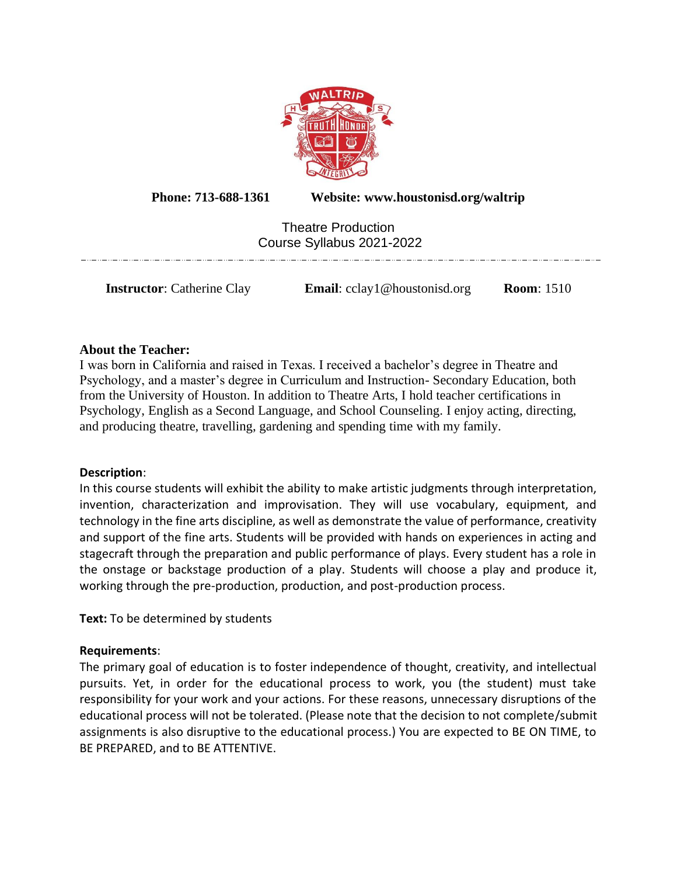

**Phone: 713-688-1361 Website: www.houstonisd.org/waltrip**

Theatre Production Course Syllabus 2021-2022

**Instructor**: Catherine Clay **Email**: cclay1@houstonisd.org **Room**: 1510

**About the Teacher:** I was born in California and raised in Texas. I received a bachelor's degree in Theatre and Psychology, and a master's degree in Curriculum and Instruction- Secondary Education, both from the University of Houston. In addition to Theatre Arts, I hold teacher certifications in Psychology, English as a Second Language, and School Counseling. I enjoy acting, directing, and producing theatre, travelling, gardening and spending time with my family.

# **Description**:

In this course students will exhibit the ability to make artistic judgments through interpretation, invention, characterization and improvisation. They will use vocabulary, equipment, and technology in the fine arts discipline, as well as demonstrate the value of performance, creativity and support of the fine arts. Students will be provided with hands on experiences in acting and stagecraft through the preparation and public performance of plays. Every student has a role in the onstage or backstage production of a play. Students will choose a play and produce it, working through the pre-production, production, and post-production process.

**Text:** To be determined by students

# **Requirements**:

The primary goal of education is to foster independence of thought, creativity, and intellectual pursuits. Yet, in order for the educational process to work, you (the student) must take responsibility for your work and your actions. For these reasons, unnecessary disruptions of the educational process will not be tolerated. (Please note that the decision to not complete/submit assignments is also disruptive to the educational process.) You are expected to BE ON TIME, to BE PREPARED, and to BE ATTENTIVE.